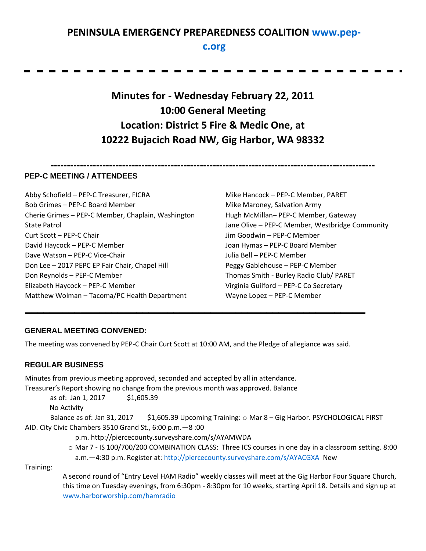# **PENINSULA EMERGENCY PREPAREDNESS COALITION [www.pep-](http://www.pep-c.org/)**

# **[c.org](http://www.pep-c.org/)**

**Minutes for - Wednesday February 22, 2011 10:00 General Meeting Location: District 5 Fire & Medic One, at 10222 Bujacich Road NW, Gig Harbor, WA 98332** 

**----------------------------------------------------------------------------------------------------**

#### **PEP-C MEETING / ATTENDEES**

Abby Schofield – PEP-C Treasurer, FICRA Bob Grimes – PEP-C Board Member Cherie Grimes – PEP-C Member, Chaplain, Washington State Patrol Curt Scott – PEP-C Chair David Haycock – PEP-C Member Dave Watson – PEP-C Vice-Chair Don Lee – 2017 PEPC EP Fair Chair, Chapel Hill Don Reynolds – PEP-C Member Elizabeth Haycock – PEP-C Member Matthew Wolman – Tacoma/PC Health Department

Mike Hancock – PEP-C Member, PARET Mike Maroney, Salvation Army Hugh McMillan– PEP-C Member, Gateway Jane Olive – PEP-C Member, Westbridge Community Jim Goodwin – PEP-C Member Joan Hymas – PEP-C Board Member Julia Bell – PEP-C Member Peggy Gablehouse – PEP-C Member Thomas Smith - Burley Radio Club/ PARET Virginia Guilford – PEP-C Co Secretary Wayne Lopez – PEP-C Member

#### **GENERAL MEETING CONVENED:**

The meeting was convened by PEP-C Chair Curt Scott at 10:00 AM, and the Pledge of allegiance was said.

**\_\_\_\_\_\_\_\_\_\_\_\_\_\_\_\_\_\_\_\_\_\_\_\_\_\_\_\_\_\_\_\_\_\_\_\_\_\_\_\_\_\_\_\_\_\_\_\_\_\_\_\_\_\_\_**

#### **REGULAR BUSINESS**

Minutes from previous meeting approved, seconded and accepted by all in attendance. Treasurer's Report showing no change from the previous month was approved. Balance

as of: Jan 1, 2017 \$1,605.39

No Activity

Balance as of: Jan 31, 2017 \$1,605.39 Upcoming Training:  $\circ$  Mar 8 – Gig Harbor. PSYCHOLOGICAL FIRST AID. City Civic Chambers 3510 Grand St., 6:00 p.m.—8 :00

p.m. http://piercecounty.surveyshare.com/s/AYAMWDA

o Mar 7 - IS 100/700/200 COMBINATION CLASS: Three ICS courses in one day in a classroom setting. 8:00 a.m.—4:30 p.m. Register at[: http://piercecounty.surveyshare.com/s/AYACGXA](http://piercecounty.surveyshare.com/s/AYACGXA) New

Training:

A second round of "Entry Level HAM Radio" weekly classes will meet at the Gig Harbor Four Square Church, this time on Tuesday evenings, from 6:30pm - 8:30pm for 10 weeks, starting April 18. Details and sign up at [www.harborworship.com/hamradio](http://www.harborworship.com/hamradio)